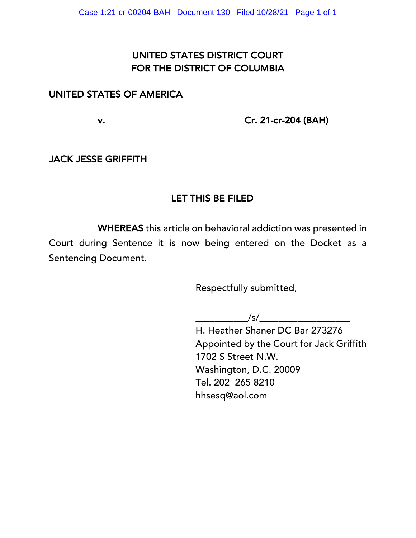# UNITED STATES DISTRICT COURT FOR THE DISTRICT OF COLUMBIA

## UNITED STATES OF AMERICA

v. Cr. 21-cr-204 (BAH)

## JACK JESSE GRIFFITH

# LET THIS BE FILED

 WHEREAS this article on behavioral addiction was presented in Court during Sentence it is now being entered on the Docket as a Sentencing Document.

Respectfully submitted,

 $\frac{1}{s}$ 

H. Heather Shaner DC Bar 273276 Appointed by the Court for Jack Griffith 1702 S Street N.W. Washington, D.C. 20009 Tel. 202 265 8210 hhsesq@aol.com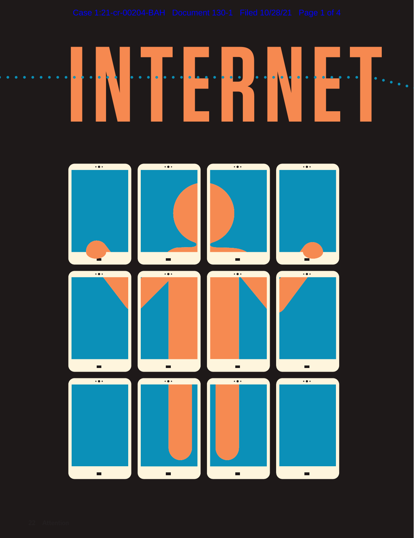

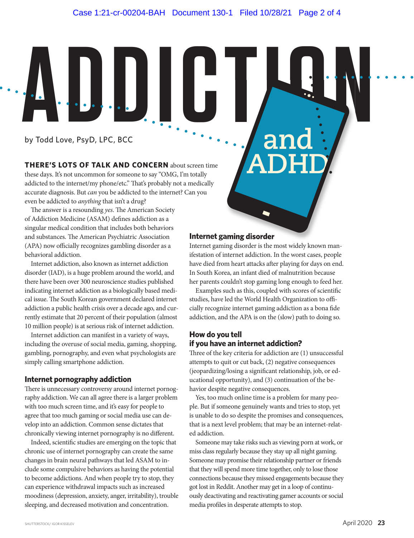by Todd Love, PsyD, LPC, BCC **INTERNATIONAL PROPERTY AND SUPPORT OF A PARTIES** 

> **THERE'S LOTS OF TALK AND CONCERN** about screen time these days. It's not uncommon for someone to say "OMG, I'm totally addicted to the internet/my phone/etc." That's probably not a medically accurate diagnosis. But *can* you be addicted to the internet? Can you even be addicted to *anything* that isn't a drug?

The answer is a resounding *yes*. The American Society of Addiction Medicine (ASAM) defines addiction as a singular medical condition that includes both behaviors and substances. The American Psychiatric Association (APA) now officially recognizes gambling disorder as a behavioral addiction.

Internet addiction, also known as internet addiction disorder (IAD), is a huge problem around the world, and there have been over 300 neuroscience studies published indicating internet addiction as a biologically based medical issue. The South Korean government declared internet addiction a public health crisis over a decade ago, and currently estimate that 20 percent of their population (almost 10 million people) is at serious risk of internet addiction.

Internet addiction can manifest in a variety of ways, including the overuse of social media, gaming, shopping, gambling, pornography, and even what psychologists are simply calling smartphone addiction.

### **Internet pornography addiction**

There is unnecessary controversy around internet pornography addiction. We can all agree there is a larger problem with too much screen time, and it's easy for people to agree that too much gaming or social media use can develop into an addiction. Common sense dictates that chronically viewing internet pornography is no different.

Indeed, scientific studies are emerging on the topic that chronic use of internet pornography can create the same changes in brain neural pathways that led ASAM to include some compulsive behaviors as having the potential to become addictions. And when people try to stop, they can experience withdrawal impacts such as increased moodiness (depression, anxiety, anger, irritability), trouble sleeping, and decreased motivation and concentration.

### **Internet gaming disorder**

Internet gaming disorder is the most widely known manifestation of internet addiction. In the worst cases, people have died from heart attacks after playing for days on end. In South Korea, an infant died of malnutrition because her parents couldn't stop gaming long enough to feed her.

**and** 

**ADHD**

Examples such as this, coupled with scores of scientific studies, have led the World Health Organization to offi-

cially recognize internet gaming addiction as a bona fide addiction, and the APA is on the (slow) path to doing so.

## **How do you tell if you have an internet addiction?**

Three of the key criteria for addiction are (1) unsuccessful attempts to quit or cut back, (2) negative consequences (jeopardizing/losing a significant relationship, job, or educational opportunity), and (3) continuation of the behavior despite negative consequences.

Yes, too much online time is a problem for many people. But if someone genuinely wants and tries to stop, yet is unable to do so despite the promises and consequences, that is a next level problem; that may be an internet-related addiction.

Someone may take risks such as viewing porn at work, or miss class regularly because they stay up all night gaming. Someone may promise their relationship partner or friends that they will spend more time together, only to lose those connections because they missed engagements because they got lost in Reddit. Another may get in a loop of continuously deactivating and reactivating gamer accounts or social media profiles in desperate attempts to stop.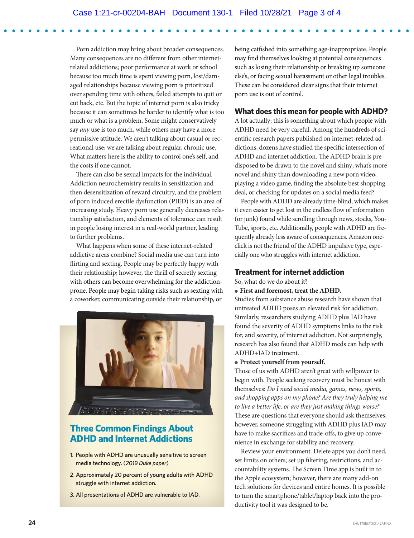Porn addiction may bring about broader consequences. Many consequences are no different from other internetrelated addictions; poor performance at work or school because too much time is spent viewing porn, lost/damaged relationships because viewing porn is prioritized over spending time with others, failed attempts to quit or cut back, etc. But the topic of internet porn is also tricky because it can sometimes be harder to identify what is too much or what is a problem. Some might conservatively say *any* use is too much, while others may have a more permissive attitude. We aren't talking about casual or recreational use; we are talking about regular, chronic use. What matters here is the ability to control one's self, and the costs if one cannot.

There can also be sexual impacts for the individual. Addiction neurochemistry results in sensitization and then desensitization of reward circuitry, and the problem of porn induced erectile dysfunction (PIED) is an area of increasing study. Heavy porn use generally decreases relationship satisfaction, and elements of tolerance can result in people losing interest in a real-world partner, leading to further problems.

What happens when some of these internet-related addictive areas combine? Social media use can turn into flirting and sexting. People may be perfectly happy with their relationship; however, the thrill of secretly sexting with others can become overwhelming for the addictionprone. People may begin taking risks such as sexting with a coworker, communicating outside their relationship, or



## **Three Common Findings About ADHD and Internet Addictions**

- 1. People with ADHD are unusually sensitive to screen media technology. (2019 Duke paper)
- 2. Approximately 20 percent of young adults with ADHD struggle with internet addiction.
- 3. All presentations of ADHD are vulnerable to IAD.

being catfished into something age-inappropriate. People may find themselves looking at potential consequences such as losing their relationship or breaking up someone else's, or facing sexual harassment or other legal troubles. These can be considered clear signs that their internet porn use is out of control.

## **What does this mean for people with ADHD?**

A lot actually; this is something about which people with ADHD need be very careful. Among the hundreds of scientific research papers published on internet-related addictions, dozens have studied the specific intersection of ADHD and internet addiction. The ADHD brain is predisposed to be drawn to the novel and shiny; what's more novel and shiny than downloading a new porn video, playing a video game, finding the absolute best shopping deal, or checking for updates on a social media feed?

People with ADHD are already time-blind, which makes it even easier to get lost in the endless flow of information (or junk) found while scrolling through news, stocks, You-Tube, sports, etc. Additionally, people with ADHD are frequently already less aware of consequences. Amazon oneclick is not the friend of the ADHD impulsive type, especially one who struggles with internet addiction.

## **Treatment for internet addiction**

So, what do we do about it?

#### ● **First and foremost, treat the ADHD.**

Studies from substance abuse research have shown that untreated ADHD poses an elevated risk for addiction. Similarly, researchers studying ADHD plus IAD have found the severity of ADHD symptoms links to the risk for, and severity, of internet addiction. Not surprisingly, research has also found that ADHD meds can help with ADHD+IAD treatment.

#### ● **Protect yourself from yourself.**

Those of us with ADHD aren't great with willpower to begin with. People seeking recovery must be honest with themselves: *Do I need social media, games, news, sports, and shopping apps on my phone? Are they truly helping me to live a better life, or are they just making things worse?* These are questions that everyone should ask themselves; however, someone struggling with ADHD plus IAD may have to make sacrifices and trade-offs, to give up convenience in exchange for stability and recovery.

Review your environment. Delete apps you don't need, set limits on others; set up filtering, restrictions, and accountability systems. The Screen Time app is built in to the Apple ecosystem; however, there are many add-on tech solutions for devices and entire homes. It is possible to turn the smartphone/tablet/laptop back into the productivity tool it was designed to be.